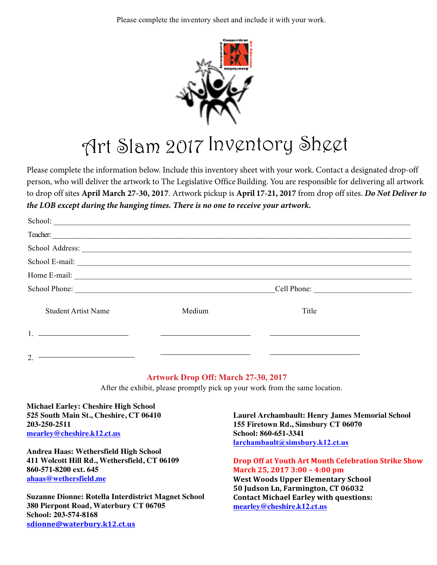Please complete the inventory sheet and include it with your work.



## Art Slam 2017 Inventory Sheet

Please complete the information below. Include this inventory sheet with your work. Contact a designated drop-off person, who will deliver the artwork to The Legislative Office Building. You are responsible for delivering all artwork to drop off sites **April March 27-30, 2017**. Artwork pickup is **April 17-21, 2017** from drop off sites. *Do Not Deliver to the LOB except during the hanging times. There is no one to receive your artwork.*

| Teacher:                                                                                                                                                                                                                                                                                                                                                                                                |        |       |  |  |  |
|---------------------------------------------------------------------------------------------------------------------------------------------------------------------------------------------------------------------------------------------------------------------------------------------------------------------------------------------------------------------------------------------------------|--------|-------|--|--|--|
|                                                                                                                                                                                                                                                                                                                                                                                                         |        |       |  |  |  |
|                                                                                                                                                                                                                                                                                                                                                                                                         |        |       |  |  |  |
| Home E-mail: $\frac{1}{\sqrt{1-\frac{1}{2}}\sqrt{1-\frac{1}{2}}\sqrt{1-\frac{1}{2}}\sqrt{1-\frac{1}{2}}\sqrt{1-\frac{1}{2}}\sqrt{1-\frac{1}{2}}\sqrt{1-\frac{1}{2}}\sqrt{1-\frac{1}{2}}\sqrt{1-\frac{1}{2}}\sqrt{1-\frac{1}{2}}\sqrt{1-\frac{1}{2}}\sqrt{1-\frac{1}{2}}\sqrt{1-\frac{1}{2}}\sqrt{1-\frac{1}{2}}\sqrt{1-\frac{1}{2}}\sqrt{1-\frac{1}{2}}\sqrt{1-\frac{1}{2}}\sqrt{1-\frac{1}{2}}\sqrt{1$ |        |       |  |  |  |
| School Phone:                                                                                                                                                                                                                                                                                                                                                                                           |        |       |  |  |  |
| <b>Student Artist Name</b>                                                                                                                                                                                                                                                                                                                                                                              | Medium | Title |  |  |  |
| the control of the control of the control of the control of                                                                                                                                                                                                                                                                                                                                             |        |       |  |  |  |
| 2.                                                                                                                                                                                                                                                                                                                                                                                                      |        |       |  |  |  |

## **Artwork Drop Off: March 27-30, 2017**

After the exhibit, please promptly pick up your work from the same location.

**Michael Earley: Cheshire High School 525 South Main St., Cheshire, CT 06410 203-250-2511 mearley@cheshire.k12.ct.us**

**Andrea Haas: Wethersfield High School 411 Wolcott Hill Rd., Wethersfield, CT 06109 860-571-8200 ext. 645 ahaas@wethersfield.me**

**Suzanne Dionne: Rotella Interdistrict Magnet School 380 Pierpont Road, Waterbury CT 06705 School: 203-574-8168 sdionne@waterbury.k12.ct.us**

**Laurel Archambault: Henry James Memorial School 155 Firetown Rd., Simsbury CT 06070 School: 860-651-3341 larchambault@simsbury.k12.ct.us**

**Drop Off at Youth Art Month Celebration Strike Show March 25, 2017 3:00 – 4:00 pm West Woods Upper Elementary School 50 Judson Ln, Farmington, CT 06032 Contact Michael Earley with questions: mearley@cheshire.k12.ct.us**